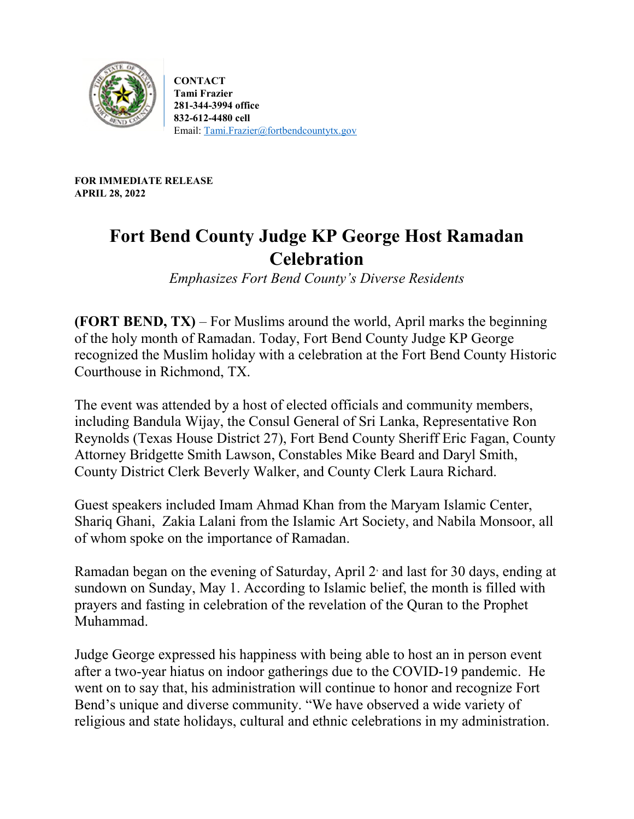

**CONTACT Tami Frazier 281-344-3994 office 832-612-4480 cell** Email: [Tami.Frazier@fortbendcountytx.gov](mailto:Tami.Frazier@fortbendcountytx.gov)

**FOR IMMEDIATE RELEASE APRIL 28, 2022**

## **Fort Bend County Judge KP George Host Ramadan Celebration**

*Emphasizes Fort Bend County's Diverse Residents* 

**(FORT BEND, TX)** – For Muslims around the world, April marks the beginning of the holy month of Ramadan. Today, Fort Bend County Judge KP George recognized the Muslim holiday with a celebration at the Fort Bend County Historic Courthouse in Richmond, TX.

The event was attended by a host of elected officials and community members, including Bandula Wijay, the Consul General of Sri Lanka, Representative Ron Reynolds (Texas House District 27), Fort Bend County Sheriff Eric Fagan, County Attorney Bridgette Smith Lawson, Constables Mike Beard and Daryl Smith, County District Clerk Beverly Walker, and County Clerk Laura Richard.

Guest speakers included Imam Ahmad Khan from the Maryam Islamic Center, Shariq Ghani, Zakia Lalani from the Islamic Art Society, and Nabila Monsoor, all of whom spoke on the importance of Ramadan.

Ramadan began on the evening of Saturday, April 2 and last for 30 days, ending at sundown on Sunday, May 1. According to Islamic belief, the month is filled with prayers and fasting in celebration of the revelation of the Quran to the Prophet Muhammad.

Judge George expressed his happiness with being able to host an in person event after a two-year hiatus on indoor gatherings due to the COVID-19 pandemic. He went on to say that, his administration will continue to honor and recognize Fort Bend's unique and diverse community. "We have observed a wide variety of religious and state holidays, cultural and ethnic celebrations in my administration.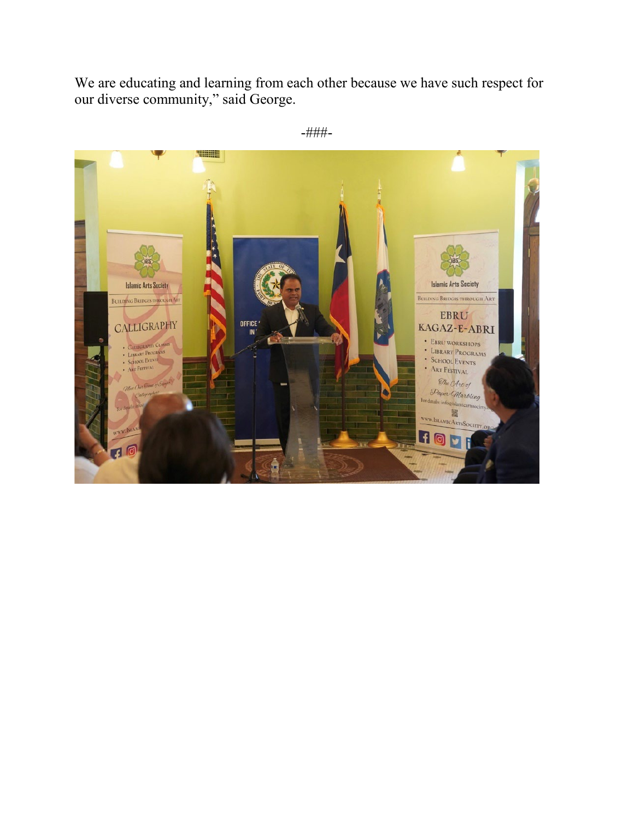We are educating and learning from each other because we have such respect for our diverse community," said George.



-###-